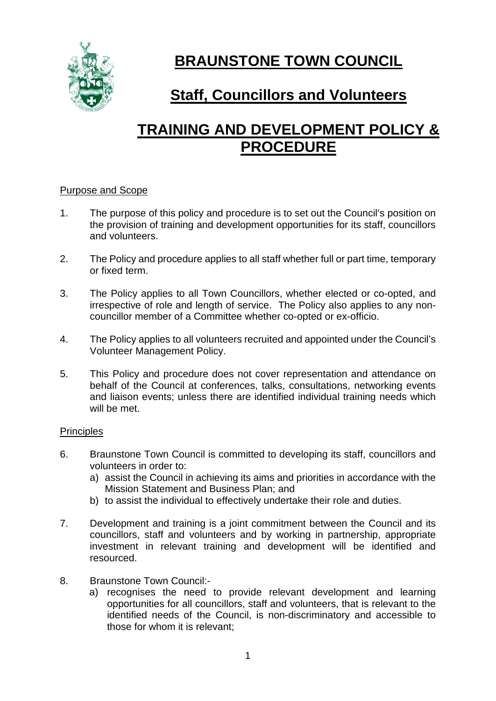

# **BRAUNSTONE TOWN COUNCIL**

# **Staff, Councillors and Volunteers**

# **TRAINING AND DEVELOPMENT POLICY & PROCEDURE**

#### Purpose and Scope

- 1. The purpose of this policy and procedure is to set out the Council's position on the provision of training and development opportunities for its staff, councillors and volunteers.
- 2. The Policy and procedure applies to all staff whether full or part time, temporary or fixed term.
- 3. The Policy applies to all Town Councillors, whether elected or co-opted, and irrespective of role and length of service. The Policy also applies to any noncouncillor member of a Committee whether co-opted or ex-officio.
- 4. The Policy applies to all volunteers recruited and appointed under the Council's Volunteer Management Policy.
- 5. This Policy and procedure does not cover representation and attendance on behalf of the Council at conferences, talks, consultations, networking events and liaison events; unless there are identified individual training needs which will be met.

#### **Principles**

- 6. Braunstone Town Council is committed to developing its staff, councillors and volunteers in order to:
	- a) assist the Council in achieving its aims and priorities in accordance with the Mission Statement and Business Plan; and
	- b) to assist the individual to effectively undertake their role and duties.
- 7. Development and training is a joint commitment between the Council and its councillors, staff and volunteers and by working in partnership, appropriate investment in relevant training and development will be identified and resourced.
- 8. Braunstone Town Council:
	- a) recognises the need to provide relevant development and learning opportunities for all councillors, staff and volunteers, that is relevant to the identified needs of the Council, is non-discriminatory and accessible to those for whom it is relevant;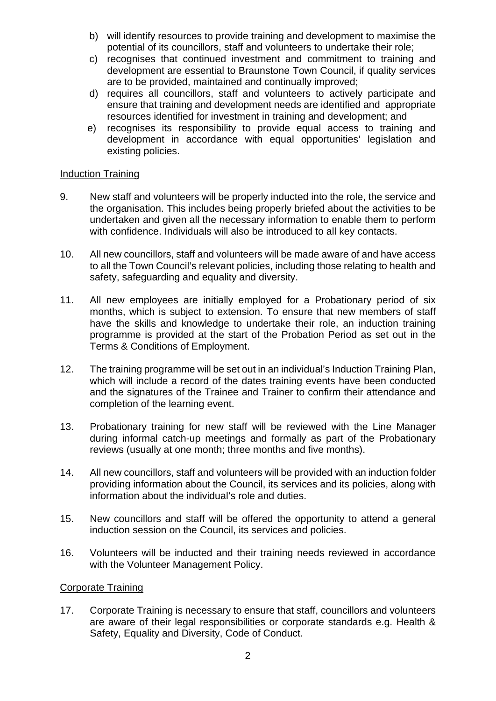- b) will identify resources to provide training and development to maximise the potential of its councillors, staff and volunteers to undertake their role;
- c) recognises that continued investment and commitment to training and development are essential to Braunstone Town Council, if quality services are to be provided, maintained and continually improved;
- d) requires all councillors, staff and volunteers to actively participate and ensure that training and development needs are identified and appropriate resources identified for investment in training and development; and
- e) recognises its responsibility to provide equal access to training and development in accordance with equal opportunities' legislation and existing policies.

#### Induction Training

- 9. New staff and volunteers will be properly inducted into the role, the service and the organisation. This includes being properly briefed about the activities to be undertaken and given all the necessary information to enable them to perform with confidence. Individuals will also be introduced to all key contacts.
- 10. All new councillors, staff and volunteers will be made aware of and have access to all the Town Council's relevant policies, including those relating to health and safety, safeguarding and equality and diversity.
- 11. All new employees are initially employed for a Probationary period of six months, which is subject to extension. To ensure that new members of staff have the skills and knowledge to undertake their role, an induction training programme is provided at the start of the Probation Period as set out in the Terms & Conditions of Employment.
- 12. The training programme will be set out in an individual's Induction Training Plan, which will include a record of the dates training events have been conducted and the signatures of the Trainee and Trainer to confirm their attendance and completion of the learning event.
- 13. Probationary training for new staff will be reviewed with the Line Manager during informal catch-up meetings and formally as part of the Probationary reviews (usually at one month; three months and five months).
- 14. All new councillors, staff and volunteers will be provided with an induction folder providing information about the Council, its services and its policies, along with information about the individual's role and duties.
- 15. New councillors and staff will be offered the opportunity to attend a general induction session on the Council, its services and policies.
- 16. Volunteers will be inducted and their training needs reviewed in accordance with the Volunteer Management Policy.

#### Corporate Training

17. Corporate Training is necessary to ensure that staff, councillors and volunteers are aware of their legal responsibilities or corporate standards e.g. Health & Safety, Equality and Diversity, Code of Conduct.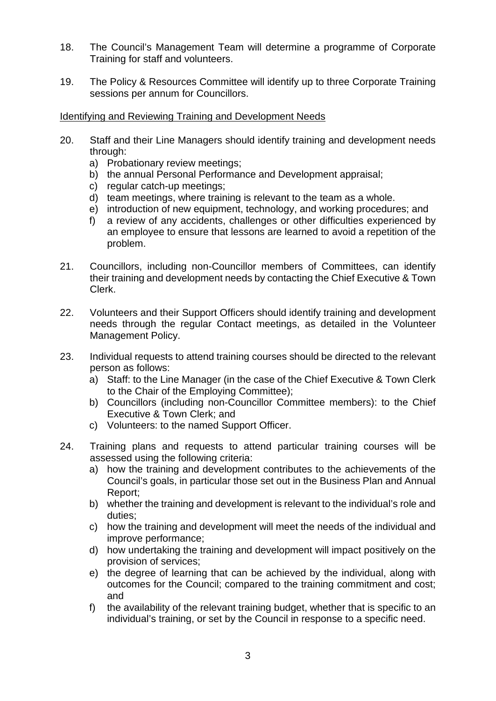- 18. The Council's Management Team will determine a programme of Corporate Training for staff and volunteers.
- 19. The Policy & Resources Committee will identify up to three Corporate Training sessions per annum for Councillors.

#### Identifying and Reviewing Training and Development Needs

- 20. Staff and their Line Managers should identify training and development needs through:
	- a) Probationary review meetings;
	- b) the annual Personal Performance and Development appraisal;
	- c) regular catch-up meetings;
	- d) team meetings, where training is relevant to the team as a whole.
	- e) introduction of new equipment, technology, and working procedures; and
	- f) a review of any accidents, challenges or other difficulties experienced by an employee to ensure that lessons are learned to avoid a repetition of the problem.
- 21. Councillors, including non-Councillor members of Committees, can identify their training and development needs by contacting the Chief Executive & Town Clerk.
- 22. Volunteers and their Support Officers should identify training and development needs through the regular Contact meetings, as detailed in the Volunteer Management Policy.
- 23. Individual requests to attend training courses should be directed to the relevant person as follows:
	- a) Staff: to the Line Manager (in the case of the Chief Executive & Town Clerk to the Chair of the Employing Committee);
	- b) Councillors (including non-Councillor Committee members): to the Chief Executive & Town Clerk; and
	- c) Volunteers: to the named Support Officer.
- 24. Training plans and requests to attend particular training courses will be assessed using the following criteria:
	- a) how the training and development contributes to the achievements of the Council's goals, in particular those set out in the Business Plan and Annual Report;
	- b) whether the training and development is relevant to the individual's role and duties;
	- c) how the training and development will meet the needs of the individual and improve performance;
	- d) how undertaking the training and development will impact positively on the provision of services;
	- e) the degree of learning that can be achieved by the individual, along with outcomes for the Council; compared to the training commitment and cost; and
	- f) the availability of the relevant training budget, whether that is specific to an individual's training, or set by the Council in response to a specific need.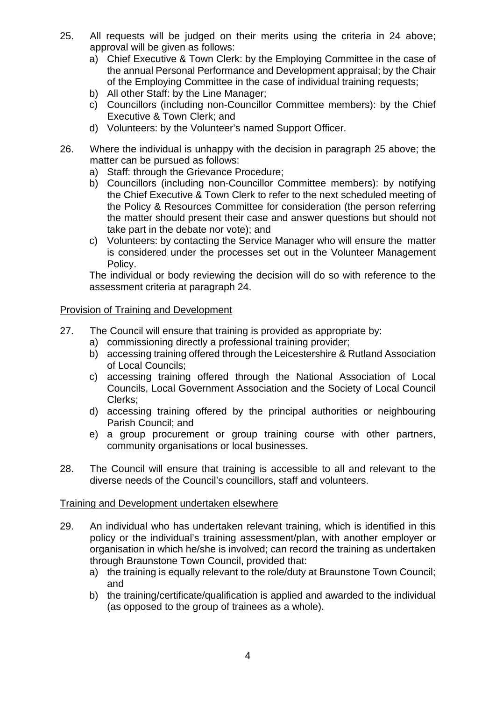- 25. All requests will be judged on their merits using the criteria in 24 above; approval will be given as follows:
	- a) Chief Executive & Town Clerk: by the Employing Committee in the case of the annual Personal Performance and Development appraisal; by the Chair of the Employing Committee in the case of individual training requests;
	- b) All other Staff: by the Line Manager;
	- c) Councillors (including non-Councillor Committee members): by the Chief Executive & Town Clerk; and
	- d) Volunteers: by the Volunteer's named Support Officer.
- 26. Where the individual is unhappy with the decision in paragraph 25 above; the matter can be pursued as follows:
	- a) Staff: through the Grievance Procedure;
	- b) Councillors (including non-Councillor Committee members): by notifying the Chief Executive & Town Clerk to refer to the next scheduled meeting of the Policy & Resources Committee for consideration (the person referring the matter should present their case and answer questions but should not take part in the debate nor vote); and
	- c) Volunteers: by contacting the Service Manager who will ensure the matter is considered under the processes set out in the Volunteer Management Policy.

The individual or body reviewing the decision will do so with reference to the assessment criteria at paragraph 24.

#### Provision of Training and Development

- 27. The Council will ensure that training is provided as appropriate by:
	- a) commissioning directly a professional training provider;
	- b) accessing training offered through the Leicestershire & Rutland Association of Local Councils;
	- c) accessing training offered through the National Association of Local Councils, Local Government Association and the Society of Local Council Clerks;
	- d) accessing training offered by the principal authorities or neighbouring Parish Council; and
	- e) a group procurement or group training course with other partners, community organisations or local businesses.
- 28. The Council will ensure that training is accessible to all and relevant to the diverse needs of the Council's councillors, staff and volunteers.

#### Training and Development undertaken elsewhere

- 29. An individual who has undertaken relevant training, which is identified in this policy or the individual's training assessment/plan, with another employer or organisation in which he/she is involved; can record the training as undertaken through Braunstone Town Council, provided that:
	- a) the training is equally relevant to the role/duty at Braunstone Town Council; and
	- b) the training/certificate/qualification is applied and awarded to the individual (as opposed to the group of trainees as a whole).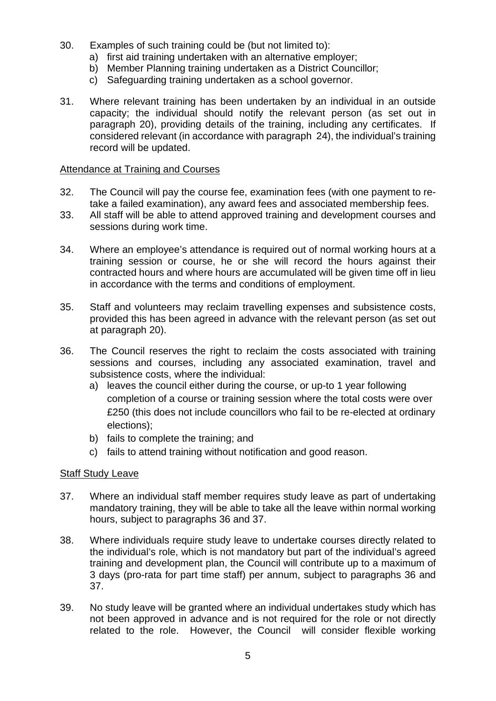- 30. Examples of such training could be (but not limited to):
	- a) first aid training undertaken with an alternative employer;
	- b) Member Planning training undertaken as a District Councillor;
	- c) Safeguarding training undertaken as a school governor.
- 31. Where relevant training has been undertaken by an individual in an outside capacity; the individual should notify the relevant person (as set out in paragraph 20), providing details of the training, including any certificates. If considered relevant (in accordance with paragraph 24), the individual's training record will be updated.

#### Attendance at Training and Courses

- 32. The Council will pay the course fee, examination fees (with one payment to retake a failed examination), any award fees and associated membership fees.
- 33. All staff will be able to attend approved training and development courses and sessions during work time.
- 34. Where an employee's attendance is required out of normal working hours at a training session or course, he or she will record the hours against their contracted hours and where hours are accumulated will be given time off in lieu in accordance with the terms and conditions of employment.
- 35. Staff and volunteers may reclaim travelling expenses and subsistence costs, provided this has been agreed in advance with the relevant person (as set out at paragraph 20).
- 36. The Council reserves the right to reclaim the costs associated with training sessions and courses, including any associated examination, travel and subsistence costs, where the individual:
	- a) leaves the council either during the course, or up-to 1 year following completion of a course or training session where the total costs were over £250 (this does not include councillors who fail to be re-elected at ordinary elections);
	- b) fails to complete the training; and
	- c) fails to attend training without notification and good reason.

#### Staff Study Leave

- 37. Where an individual staff member requires study leave as part of undertaking mandatory training, they will be able to take all the leave within normal working hours, subject to paragraphs 36 and 37.
- 38. Where individuals require study leave to undertake courses directly related to the individual's role, which is not mandatory but part of the individual's agreed training and development plan, the Council will contribute up to a maximum of 3 days (pro-rata for part time staff) per annum, subject to paragraphs 36 and 37.
- 39. No study leave will be granted where an individual undertakes study which has not been approved in advance and is not required for the role or not directly related to the role. However, the Council will consider flexible working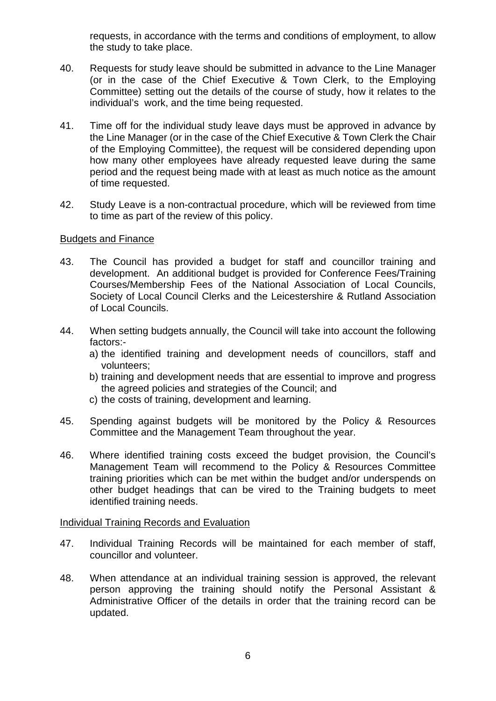requests, in accordance with the terms and conditions of employment, to allow the study to take place.

- 40. Requests for study leave should be submitted in advance to the Line Manager (or in the case of the Chief Executive & Town Clerk, to the Employing Committee) setting out the details of the course of study, how it relates to the individual's work, and the time being requested.
- 41. Time off for the individual study leave days must be approved in advance by the Line Manager (or in the case of the Chief Executive & Town Clerk the Chair of the Employing Committee), the request will be considered depending upon how many other employees have already requested leave during the same period and the request being made with at least as much notice as the amount of time requested.
- 42. Study Leave is a non-contractual procedure, which will be reviewed from time to time as part of the review of this policy.

#### Budgets and Finance

- 43. The Council has provided a budget for staff and councillor training and development. An additional budget is provided for Conference Fees/Training Courses/Membership Fees of the National Association of Local Councils, Society of Local Council Clerks and the Leicestershire & Rutland Association of Local Councils.
- 44. When setting budgets annually, the Council will take into account the following factors:
	- a) the identified training and development needs of councillors, staff and volunteers;
	- b) training and development needs that are essential to improve and progress the agreed policies and strategies of the Council; and
	- c) the costs of training, development and learning.
- 45. Spending against budgets will be monitored by the Policy & Resources Committee and the Management Team throughout the year.
- 46. Where identified training costs exceed the budget provision, the Council's Management Team will recommend to the Policy & Resources Committee training priorities which can be met within the budget and/or underspends on other budget headings that can be vired to the Training budgets to meet identified training needs.

#### Individual Training Records and Evaluation

- 47. Individual Training Records will be maintained for each member of staff, councillor and volunteer.
- 48. When attendance at an individual training session is approved, the relevant person approving the training should notify the Personal Assistant & Administrative Officer of the details in order that the training record can be updated.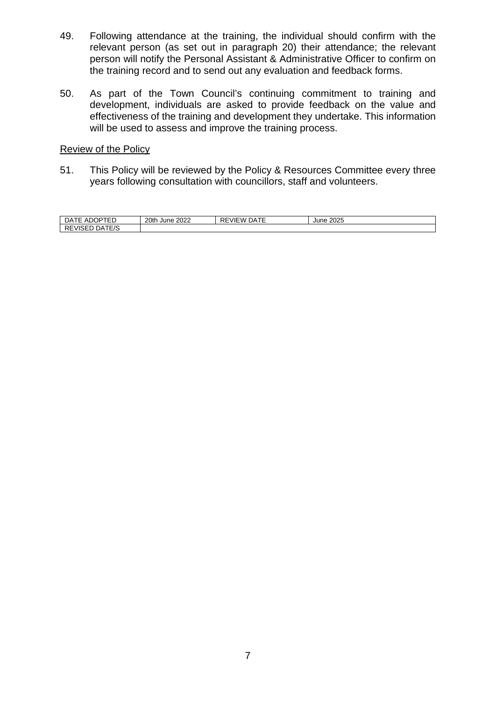- 49. Following attendance at the training, the individual should confirm with the relevant person (as set out in paragraph 20) their attendance; the relevant person will notify the Personal Assistant & Administrative Officer to confirm on the training record and to send out any evaluation and feedback forms.
- 50. As part of the Town Council's continuing commitment to training and development, individuals are asked to provide feedback on the value and effectiveness of the training and development they undertake. This information will be used to assess and improve the training process.

#### Review of the Policy

51. This Policy will be reviewed by the Policy & Resources Committee every three years following consultation with councillors, staff and volunteers.

| $- - - - -$<br>∵ ∽ال.<br>⊣ں<br>AL<br>ᄂ                   | 20th<br>2022<br>. June ' | $\overline{\phantom{a}}$<br>ור<br>VIEW<br>- ۱۳<br>◝∟ | חממ<br>June<br>∠∪∠ວ |
|----------------------------------------------------------|--------------------------|------------------------------------------------------|---------------------|
| $2 - 7$<br>∵ م ر<br>-<br>''∽⊢<br><b>REVISED</b><br>– ⁄ ب |                          |                                                      |                     |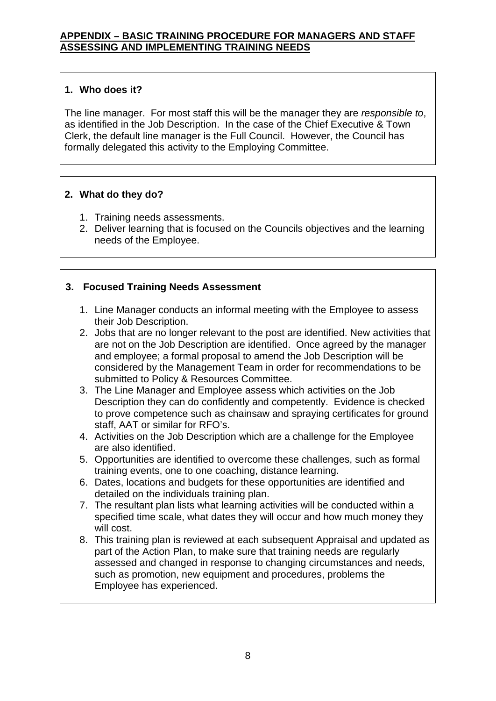## **1. Who does it?**

The line manager. For most staff this will be the manager they are *responsible to*, as identified in the Job Description. In the case of the Chief Executive & Town Clerk, the default line manager is the Full Council. However, the Council has formally delegated this activity to the Employing Committee.

## **2. What do they do?**

- 1. Training needs assessments.
- 2. Deliver learning that is focused on the Councils objectives and the learning needs of the Employee.

# **3. Focused Training Needs Assessment**

- 1. Line Manager conducts an informal meeting with the Employee to assess their Job Description.
- 2. Jobs that are no longer relevant to the post are identified. New activities that are not on the Job Description are identified. Once agreed by the manager and employee; a formal proposal to amend the Job Description will be considered by the Management Team in order for recommendations to be submitted to Policy & Resources Committee.
- 3. The Line Manager and Employee assess which activities on the Job Description they can do confidently and competently. Evidence is checked to prove competence such as chainsaw and spraying certificates for ground staff, AAT or similar for RFO's.
- 4. Activities on the Job Description which are a challenge for the Employee are also identified.
- 5. Opportunities are identified to overcome these challenges, such as formal training events, one to one coaching, distance learning.
- 6. Dates, locations and budgets for these opportunities are identified and detailed on the individuals training plan.
- 7. The resultant plan lists what learning activities will be conducted within a specified time scale, what dates they will occur and how much money they will cost.
- 8. This training plan is reviewed at each subsequent Appraisal and updated as part of the Action Plan, to make sure that training needs are regularly assessed and changed in response to changing circumstances and needs, such as promotion, new equipment and procedures, problems the Employee has experienced.